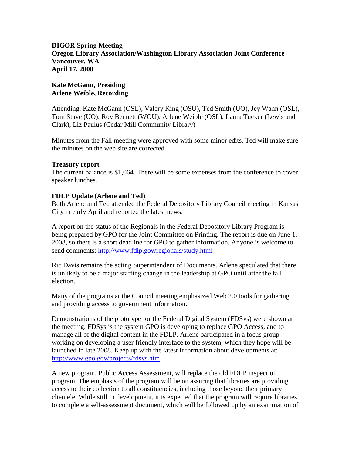### **DIGOR Spring Meeting Oregon Library Association/Washington Library Association Joint Conference Vancouver, WA April 17, 2008**

### **Kate McGann, Presiding Arlene Weible, Recording**

Attending: Kate McGann (OSL), Valery King (OSU), Ted Smith (UO), Jey Wann (OSL), Tom Stave (UO), Roy Bennett (WOU), Arlene Weible (OSL), Laura Tucker (Lewis and Clark), Liz Paulus (Cedar Mill Community Library)

Minutes from the Fall meeting were approved with some minor edits. Ted will make sure the minutes on the web site are corrected.

### **Treasury report**

The current balance is \$1,064. There will be some expenses from the conference to cover speaker lunches.

### **FDLP Update (Arlene and Ted)**

Both Arlene and Ted attended the Federal Depository Library Council meeting in Kansas City in early April and reported the latest news.

A report on the status of the Regionals in the Federal Depository Library Program is being prepared by GPO for the Joint Committee on Printing. The report is due on June 1, 2008, so there is a short deadline for GPO to gather information. Anyone is welcome to send comments:<http://www.fdlp.gov/regionals/study.html>

Ric Davis remains the acting Superintendent of Documents. Arlene speculated that there is unlikely to be a major staffing change in the leadership at GPO until after the fall election.

Many of the programs at the Council meeting emphasized Web 2.0 tools for gathering and providing access to government information.

Demonstrations of the prototype for the Federal Digital System (FDSys) were shown at the meeting. FDSys is the system GPO is developing to replace GPO Access, and to manage all of the digital content in the FDLP. Arlene participated in a focus group working on developing a user friendly interface to the system, which they hope will be launched in late 2008. Keep up with the latest information about developments at: <http://www.gpo.gov/projects/fdsys.htm>

A new program, Public Access Assessment, will replace the old FDLP inspection program. The emphasis of the program will be on assuring that libraries are providing access to their collection to all constituencies, including those beyond their primary clientele. While still in development, it is expected that the program will require libraries to complete a self-assessment document, which will be followed up by an examination of